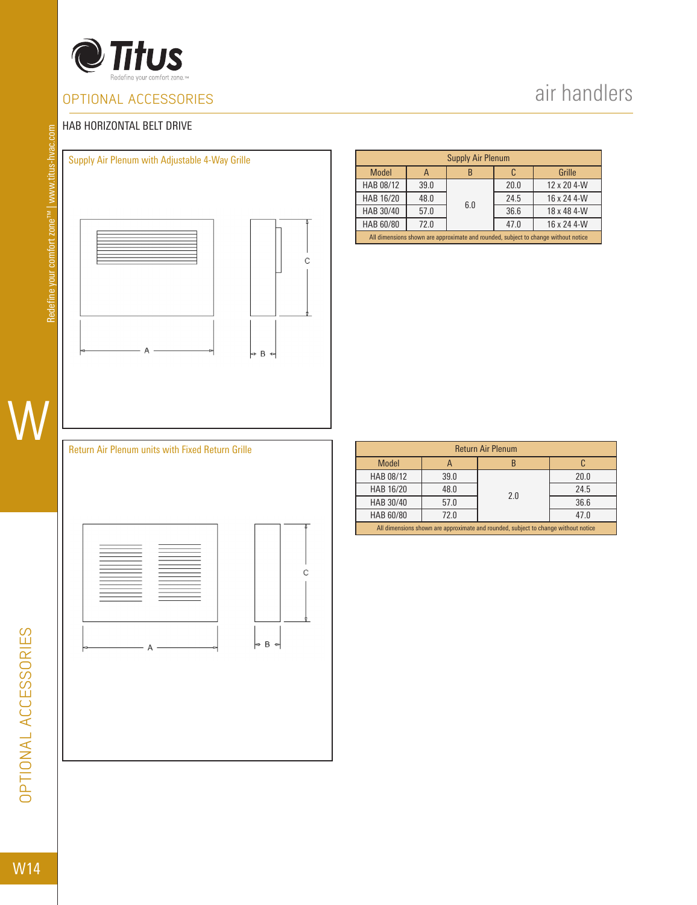

### OPTIONAL ACCESSORIES

# air handlers

#### HAB HORIZONTAL BELT DRIVE



| <b>Supply Air Plenum</b>                                                           |      |     |      |             |  |  |  |  |
|------------------------------------------------------------------------------------|------|-----|------|-------------|--|--|--|--|
| Model                                                                              | A    |     |      | Grille      |  |  |  |  |
| HAB 08/12                                                                          | 39.0 |     | 20.0 | 12 x 20 4-W |  |  |  |  |
| HAB 16/20                                                                          | 48.0 | 6.0 | 24.5 | 16 x 24 4-W |  |  |  |  |
| HAB 30/40                                                                          | 57.0 |     | 36.6 | 18 x 48 4-W |  |  |  |  |
| HAB 60/80                                                                          | 72.0 |     | 47.0 | 16 x 24 4-W |  |  |  |  |
| All dimensions shown are approximate and rounded, subject to change without notice |      |     |      |             |  |  |  |  |

#### Return Air Plenum units with Fixed Return Grille



| <b>Return Air Plenum</b>                                                           |      |     |      |  |  |  |  |  |  |
|------------------------------------------------------------------------------------|------|-----|------|--|--|--|--|--|--|
| <b>Model</b>                                                                       |      |     |      |  |  |  |  |  |  |
| HAB 08/12                                                                          | 39.0 |     | 20.0 |  |  |  |  |  |  |
| HAB 16/20                                                                          | 48.0 | 2.0 | 24.5 |  |  |  |  |  |  |
| HAB 30/40                                                                          | 57.0 |     | 36.6 |  |  |  |  |  |  |
| HAB 60/80                                                                          | 72.0 |     | 47.0 |  |  |  |  |  |  |
| All dimensions shown are approximate and rounded, subject to change without notice |      |     |      |  |  |  |  |  |  |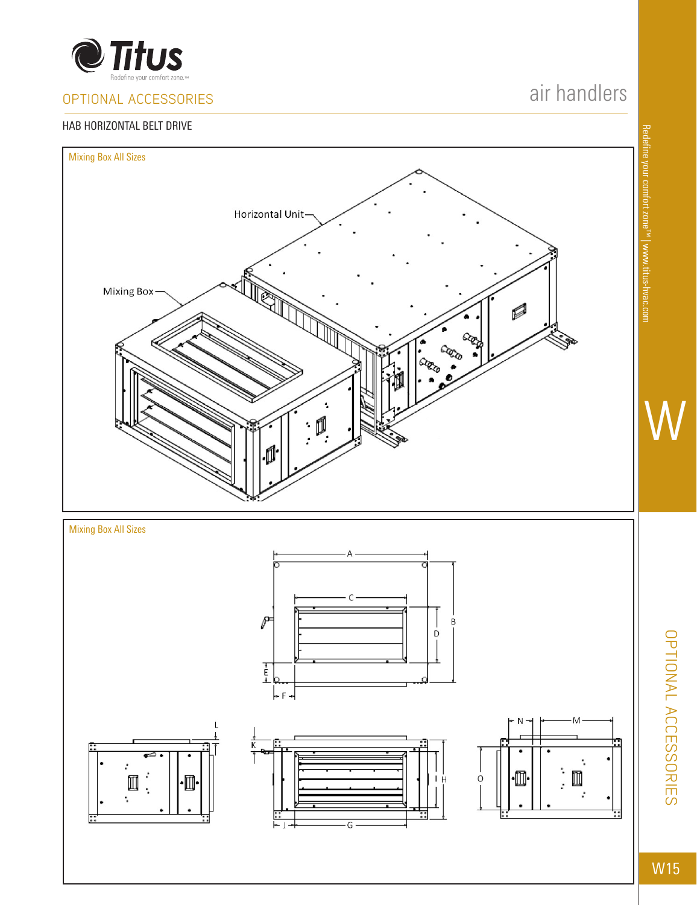

### OPTIONAL ACCESSORIES

#### HAB HORIZONTAL BELT DRIVE

# air handlers











W15

OPTIONAL ACCESSORIES

**OPTIONAL ACCESSORIES** 

W

Redefine your comfort zone™ | www.titus-hvac.com

Redefine your comfort zone<sup>rw</sup> | www.titus-hvac.com